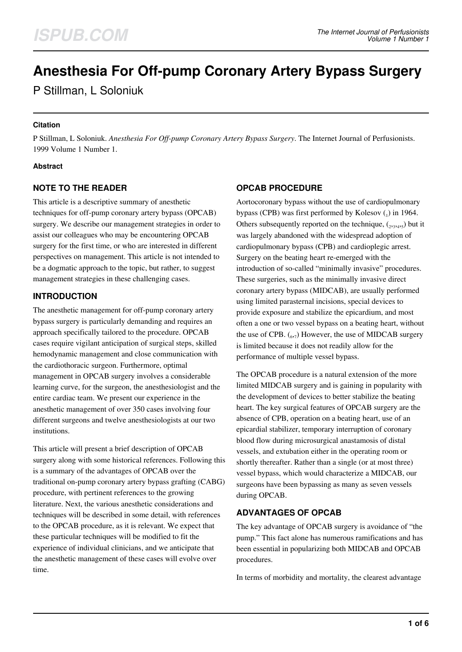# **Anesthesia For Off-pump Coronary Artery Bypass Surgery**

P Stillman, L Soloniuk

#### **Citation**

P Stillman, L Soloniuk. *Anesthesia For Off-pump Coronary Artery Bypass Surgery*. The Internet Journal of Perfusionists. 1999 Volume 1 Number 1.

#### **Abstract**

## **NOTE TO THE READER**

This article is a descriptive summary of anesthetic techniques for off-pump coronary artery bypass (OPCAB) surgery. We describe our management strategies in order to assist our colleagues who may be encountering OPCAB surgery for the first time, or who are interested in different perspectives on management. This article is not intended to be a dogmatic approach to the topic, but rather, to suggest management strategies in these challenging cases.

### **INTRODUCTION**

The anesthetic management for off-pump coronary artery bypass surgery is particularly demanding and requires an approach specifically tailored to the procedure. OPCAB cases require vigilant anticipation of surgical steps, skilled hemodynamic management and close communication with the cardiothoracic surgeon. Furthermore, optimal management in OPCAB surgery involves a considerable learning curve, for the surgeon, the anesthesiologist and the entire cardiac team. We present our experience in the anesthetic management of over 350 cases involving four different surgeons and twelve anesthesiologists at our two institutions.

This article will present a brief description of OPCAB surgery along with some historical references. Following this is a summary of the advantages of OPCAB over the traditional on-pump coronary artery bypass grafting (CABG) procedure, with pertinent references to the growing literature. Next, the various anesthetic considerations and techniques will be described in some detail, with references to the OPCAB procedure, as it is relevant. We expect that these particular techniques will be modified to fit the experience of individual clinicians, and we anticipate that the anesthetic management of these cases will evolve over time.

## **OPCAB PROCEDURE**

Aortocoronary bypass without the use of cardiopulmonary bypass (CPB) was first performed by Kolesov  $_{1}$ ) in 1964. Others subsequently reported on the technique,  $({}_{2}, {}_{3}, {}_{4}, {}_{5})$  but it was largely abandoned with the widespread adoption of cardiopulmonary bypass (CPB) and cardioplegic arrest. Surgery on the beating heart re-emerged with the introduction of so-called "minimally invasive" procedures. These surgeries, such as the minimally invasive direct coronary artery bypass (MIDCAB), are usually performed using limited parasternal incisions, special devices to provide exposure and stabilize the epicardium, and most often a one or two vessel bypass on a beating heart, without the use of CPB.  $\binom{6}{6}$  However, the use of MIDCAB surgery is limited because it does not readily allow for the performance of multiple vessel bypass.

The OPCAB procedure is a natural extension of the more limited MIDCAB surgery and is gaining in popularity with the development of devices to better stabilize the beating heart. The key surgical features of OPCAB surgery are the absence of CPB, operation on a beating heart, use of an epicardial stabilizer, temporary interruption of coronary blood flow during microsurgical anastamosis of distal vessels, and extubation either in the operating room or shortly thereafter. Rather than a single (or at most three) vessel bypass, which would characterize a MIDCAB, our surgeons have been bypassing as many as seven vessels during OPCAB.

#### **ADVANTAGES OF OPCAB**

The key advantage of OPCAB surgery is avoidance of "the pump." This fact alone has numerous ramifications and has been essential in popularizing both MIDCAB and OPCAB procedures.

In terms of morbidity and mortality, the clearest advantage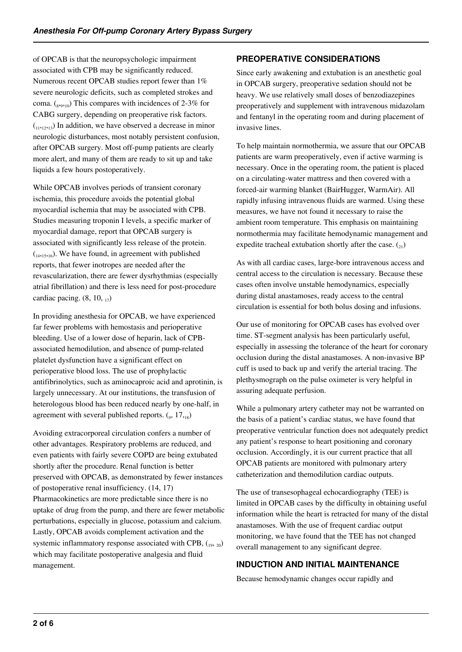of OPCAB is that the neuropsychologic impairment associated with CPB may be significantly reduced. Numerous recent OPCAB studies report fewer than 1% severe neurologic deficits, such as completed strokes and coma.  $\binom{8}{39,10}$  This compares with incidences of 2-3% for CABG surgery, depending on preoperative risk factors.  $(1,1,1,2,1,3)$  In addition, we have observed a decrease in minor neurologic disturbances, most notably persistent confusion, after OPCAB surgery. Most off-pump patients are clearly more alert, and many of them are ready to sit up and take liquids a few hours postoperatively.

While OPCAB involves periods of transient coronary ischemia, this procedure avoids the potential global myocardial ischemia that may be associated with CPB. Studies measuring troponin I levels, a specific marker of myocardial damage, report that OPCAB surgery is associated with significantly less release of the protein.  $\binom{1}{14,15,16}$ . We have found, in agreement with published reports, that fewer inotropes are needed after the revascularization, there are fewer dysrhythmias (especially atrial fibrillation) and there is less need for post-procedure cardiac pacing.  $(8, 10, 17)$ 

In providing anesthesia for OPCAB, we have experienced far fewer problems with hemostasis and perioperative bleeding. Use of a lower dose of heparin, lack of CPBassociated hemodilution, and absence of pump-related platelet dysfunction have a significant effect on perioperative blood loss. The use of prophylactic antifibrinolytics, such as aminocaproic acid and aprotinin, is largely unnecessary. At our institutions, the transfusion of heterologous blood has been reduced nearly by one-half, in agreement with several published reports.  $(_{9}$ ,  $17,_{18}$ )

Avoiding extracorporeal circulation confers a number of other advantages. Respiratory problems are reduced, and even patients with fairly severe COPD are being extubated shortly after the procedure. Renal function is better preserved with OPCAB, as demonstrated by fewer instances of postoperative renal insufficiency. (14, 17) Pharmacokinetics are more predictable since there is no uptake of drug from the pump, and there are fewer metabolic perturbations, especially in glucose, potassium and calcium. Lastly, OPCAB avoids complement activation and the systemic inflammatory response associated with CPB,  $\binom{19}{19}$ which may facilitate postoperative analgesia and fluid management.

# **PREOPERATIVE CONSIDERATIONS**

Since early awakening and extubation is an anesthetic goal in OPCAB surgery, preoperative sedation should not be heavy. We use relatively small doses of benzodiazepines preoperatively and supplement with intravenous midazolam and fentanyl in the operating room and during placement of invasive lines.

To help maintain normothermia, we assure that our OPCAB patients are warm preoperatively, even if active warming is necessary. Once in the operating room, the patient is placed on a circulating-water mattress and then covered with a forced-air warming blanket (BairHugger, WarmAir). All rapidly infusing intravenous fluids are warmed. Using these measures, we have not found it necessary to raise the ambient room temperature. This emphasis on maintaining normothermia may facilitate hemodynamic management and expedite tracheal extubation shortly after the case.  $\binom{21}{2}$ 

As with all cardiac cases, large-bore intravenous access and central access to the circulation is necessary. Because these cases often involve unstable hemodynamics, especially during distal anastamoses, ready access to the central circulation is essential for both bolus dosing and infusions.

Our use of monitoring for OPCAB cases has evolved over time. ST-segment analysis has been particularly useful, especially in assessing the tolerance of the heart for coronary occlusion during the distal anastamoses. A non-invasive BP cuff is used to back up and verify the arterial tracing. The plethysmograph on the pulse oximeter is very helpful in assuring adequate perfusion.

While a pulmonary artery catheter may not be warranted on the basis of a patient's cardiac status, we have found that preoperative ventricular function does not adequately predict any patient's response to heart positioning and coronary occlusion. Accordingly, it is our current practice that all OPCAB patients are monitored with pulmonary artery catheterization and themodilution cardiac outputs.

The use of transesophageal echocardiography (TEE) is limited in OPCAB cases by the difficulty in obtaining useful information while the heart is retracted for many of the distal anastamoses. With the use of frequent cardiac output monitoring, we have found that the TEE has not changed overall management to any significant degree.

## **INDUCTION AND INITIAL MAINTENANCE**

Because hemodynamic changes occur rapidly and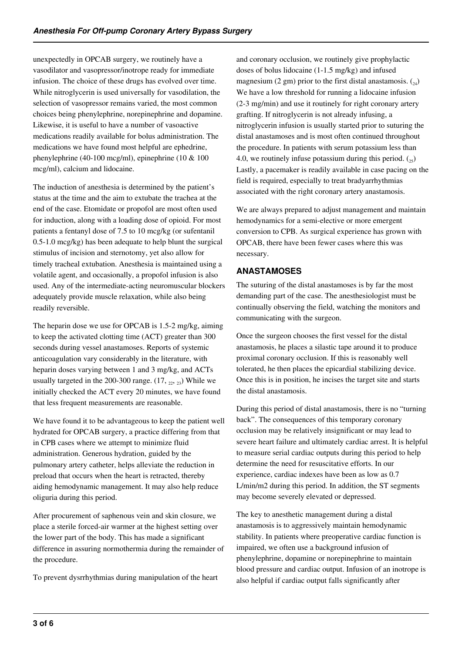unexpectedly in OPCAB surgery, we routinely have a vasodilator and vasopressor/inotrope ready for immediate infusion. The choice of these drugs has evolved over time. While nitroglycerin is used universally for vasodilation, the selection of vasopressor remains varied, the most common choices being phenylephrine, norepinephrine and dopamine. Likewise, it is useful to have a number of vasoactive medications readily available for bolus administration. The medications we have found most helpful are ephedrine, phenylephrine (40-100 mcg/ml), epinephrine (10 & 100 mcg/ml), calcium and lidocaine.

The induction of anesthesia is determined by the patient's status at the time and the aim to extubate the trachea at the end of the case. Etomidate or propofol are most often used for induction, along with a loading dose of opioid. For most patients a fentanyl dose of 7.5 to 10 mcg/kg (or sufentanil 0.5-1.0 mcg/kg) has been adequate to help blunt the surgical stimulus of incision and sternotomy, yet also allow for timely tracheal extubation. Anesthesia is maintained using a volatile agent, and occasionally, a propofol infusion is also used. Any of the intermediate-acting neuromuscular blockers adequately provide muscle relaxation, while also being readily reversible.

The heparin dose we use for OPCAB is 1.5-2 mg/kg, aiming to keep the activated clotting time (ACT) greater than 300 seconds during vessel anastamoses. Reports of systemic anticoagulation vary considerably in the literature, with heparin doses varying between 1 and 3 mg/kg, and ACTs usually targeted in the 200-300 range.  $(17, 22, 23)$  While we initially checked the ACT every 20 minutes, we have found that less frequent measurements are reasonable.

We have found it to be advantageous to keep the patient well hydrated for OPCAB surgery, a practice differing from that in CPB cases where we attempt to minimize fluid administration. Generous hydration, guided by the pulmonary artery catheter, helps alleviate the reduction in preload that occurs when the heart is retracted, thereby aiding hemodynamic management. It may also help reduce oliguria during this period.

After procurement of saphenous vein and skin closure, we place a sterile forced-air warmer at the highest setting over the lower part of the body. This has made a significant difference in assuring normothermia during the remainder of the procedure.

To prevent dysrrhythmias during manipulation of the heart

and coronary occlusion, we routinely give prophylactic doses of bolus lidocaine (1-1.5 mg/kg) and infused magnesium (2 gm) prior to the first distal anastamosis.  $\binom{24}{}$ We have a low threshold for running a lidocaine infusion (2-3 mg/min) and use it routinely for right coronary artery grafting. If nitroglycerin is not already infusing, a nitroglycerin infusion is usually started prior to suturing the distal anastamoses and is most often continued throughout the procedure. In patients with serum potassium less than 4.0, we routinely infuse potassium during this period.  $\binom{25}{25}$ Lastly, a pacemaker is readily available in case pacing on the field is required, especially to treat bradyarrhythmias associated with the right coronary artery anastamosis.

We are always prepared to adjust management and maintain hemodynamics for a semi-elective or more emergent conversion to CPB. As surgical experience has grown with OPCAB, there have been fewer cases where this was necessary.

# **ANASTAMOSES**

The suturing of the distal anastamoses is by far the most demanding part of the case. The anesthesiologist must be continually observing the field, watching the monitors and communicating with the surgeon.

Once the surgeon chooses the first vessel for the distal anastamosis, he places a silastic tape around it to produce proximal coronary occlusion. If this is reasonably well tolerated, he then places the epicardial stabilizing device. Once this is in position, he incises the target site and starts the distal anastamosis.

During this period of distal anastamosis, there is no "turning back". The consequences of this temporary coronary occlusion may be relatively insignificant or may lead to severe heart failure and ultimately cardiac arrest. It is helpful to measure serial cardiac outputs during this period to help determine the need for resuscitative efforts. In our experience, cardiac indexes have been as low as 0.7 L/min/m2 during this period. In addition, the ST segments may become severely elevated or depressed.

The key to anesthetic management during a distal anastamosis is to aggressively maintain hemodynamic stability. In patients where preoperative cardiac function is impaired, we often use a background infusion of phenylephrine, dopamine or norepinephrine to maintain blood pressure and cardiac output. Infusion of an inotrope is also helpful if cardiac output falls significantly after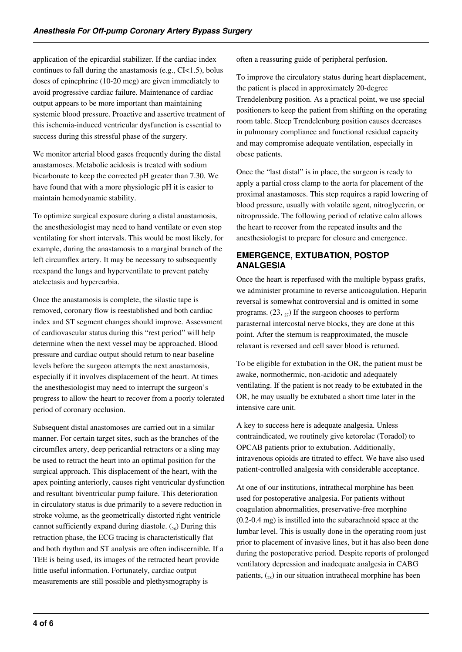application of the epicardial stabilizer. If the cardiac index continues to fall during the anastamosis (e.g., CI<1.5), bolus doses of epinephrine (10-20 mcg) are given immediately to avoid progressive cardiac failure. Maintenance of cardiac output appears to be more important than maintaining systemic blood pressure. Proactive and assertive treatment of this ischemia-induced ventricular dysfunction is essential to success during this stressful phase of the surgery.

We monitor arterial blood gases frequently during the distal anastamoses. Metabolic acidosis is treated with sodium bicarbonate to keep the corrected pH greater than 7.30. We have found that with a more physiologic pH it is easier to maintain hemodynamic stability.

To optimize surgical exposure during a distal anastamosis, the anesthesiologist may need to hand ventilate or even stop ventilating for short intervals. This would be most likely, for example, during the anastamosis to a marginal branch of the left circumflex artery. It may be necessary to subsequently reexpand the lungs and hyperventilate to prevent patchy atelectasis and hypercarbia.

Once the anastamosis is complete, the silastic tape is removed, coronary flow is reestablished and both cardiac index and ST segment changes should improve. Assessment of cardiovascular status during this "rest period" will help determine when the next vessel may be approached. Blood pressure and cardiac output should return to near baseline levels before the surgeon attempts the next anastamosis, especially if it involves displacement of the heart. At times the anesthesiologist may need to interrupt the surgeon's progress to allow the heart to recover from a poorly tolerated period of coronary occlusion.

Subsequent distal anastomoses are carried out in a similar manner. For certain target sites, such as the branches of the circumflex artery, deep pericardial retractors or a sling may be used to retract the heart into an optimal position for the surgical approach. This displacement of the heart, with the apex pointing anteriorly, causes right ventricular dysfunction and resultant biventricular pump failure. This deterioration in circulatory status is due primarily to a severe reduction in stroke volume, as the geometrically distorted right ventricle cannot sufficiently expand during diastole.  $(26)$  During this retraction phase, the ECG tracing is characteristically flat and both rhythm and ST analysis are often indiscernible. If a TEE is being used, its images of the retracted heart provide little useful information. Fortunately, cardiac output measurements are still possible and plethysmography is

often a reassuring guide of peripheral perfusion.

To improve the circulatory status during heart displacement, the patient is placed in approximately 20-degree Trendelenburg position. As a practical point, we use special positioners to keep the patient from shifting on the operating room table. Steep Trendelenburg position causes decreases in pulmonary compliance and functional residual capacity and may compromise adequate ventilation, especially in obese patients.

Once the "last distal" is in place, the surgeon is ready to apply a partial cross clamp to the aorta for placement of the proximal anastamoses. This step requires a rapid lowering of blood pressure, usually with volatile agent, nitroglycerin, or nitroprusside. The following period of relative calm allows the heart to recover from the repeated insults and the anesthesiologist to prepare for closure and emergence.

## **EMERGENCE, EXTUBATION, POSTOP ANALGESIA**

Once the heart is reperfused with the multiple bypass grafts, we administer protamine to reverse anticoagulation. Heparin reversal is somewhat controversial and is omitted in some programs.  $(23, 27)$  If the surgeon chooses to perform parasternal intercostal nerve blocks, they are done at this point. After the sternum is reapproximated, the muscle relaxant is reversed and cell saver blood is returned.

To be eligible for extubation in the OR, the patient must be awake, normothermic, non-acidotic and adequately ventilating. If the patient is not ready to be extubated in the OR, he may usually be extubated a short time later in the intensive care unit.

A key to success here is adequate analgesia. Unless contraindicated, we routinely give ketorolac (Toradol) to OPCAB patients prior to extubation. Additionally, intravenous opioids are titrated to effect. We have also used patient-controlled analgesia with considerable acceptance.

At one of our institutions, intrathecal morphine has been used for postoperative analgesia. For patients without coagulation abnormalities, preservative-free morphine (0.2-0.4 mg) is instilled into the subarachnoid space at the lumbar level. This is usually done in the operating room just prior to placement of invasive lines, but it has also been done during the postoperative period. Despite reports of prolonged ventilatory depression and inadequate analgesia in CABG patients,  $\binom{28}{28}$  in our situation intrathecal morphine has been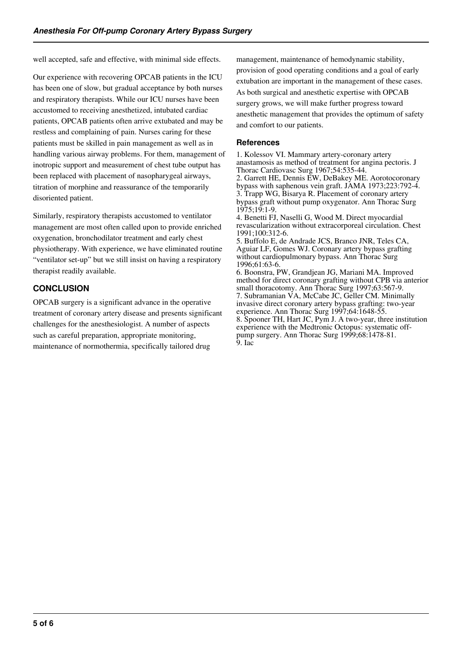well accepted, safe and effective, with minimal side effects.

Our experience with recovering OPCAB patients in the ICU has been one of slow, but gradual acceptance by both nurses and respiratory therapists. While our ICU nurses have been accustomed to receiving anesthetized, intubated cardiac patients, OPCAB patients often arrive extubated and may be restless and complaining of pain. Nurses caring for these patients must be skilled in pain management as well as in handling various airway problems. For them, management of inotropic support and measurement of chest tube output has been replaced with placement of nasopharygeal airways, titration of morphine and reassurance of the temporarily disoriented patient.

Similarly, respiratory therapists accustomed to ventilator management are most often called upon to provide enriched oxygenation, bronchodilator treatment and early chest physiotherapy. With experience, we have eliminated routine "ventilator set-up" but we still insist on having a respiratory therapist readily available.

#### **CONCLUSION**

OPCAB surgery is a significant advance in the operative treatment of coronary artery disease and presents significant challenges for the anesthesiologist. A number of aspects such as careful preparation, appropriate monitoring, maintenance of normothermia, specifically tailored drug

management, maintenance of hemodynamic stability, provision of good operating conditions and a goal of early extubation are important in the management of these cases. As both surgical and anesthetic expertise with OPCAB surgery grows, we will make further progress toward anesthetic management that provides the optimum of safety and comfort to our patients.

#### **References**

1. Kolessov VI. Mammary artery-coronary artery anastamosis as method of treatment for angina pectoris. J Thorac Cardiovasc Surg 1967;54:535-44. 2. Garrett HE, Dennis EW, DeBakey ME. Aorotocoronary bypass with saphenous vein graft. JAMA 1973;223:792-4. 3. Trapp WG, Bisarya R. Placement of coronary artery bypass graft without pump oxygenator. Ann Thorac Surg 1975;19:1-9. 4. Benetti FJ, Naselli G, Wood M. Direct myocardial revascularization without extracorporeal circulation. Chest 1991;100:312-6. 5. Buffolo E, de Andrade JCS, Branco JNR, Teles CA, Aguiar LF, Gomes WJ. Coronary artery bypass grafting without cardiopulmonary bypass. Ann Thorac Surg 1996;61:63-6. 6. Boonstra, PW, Grandjean JG, Mariani MA. Improved method for direct coronary grafting without CPB via anterior small thoracotomy. Ann Thorac Surg 1997;63:567-9. 7. Subramanian VA, McCabe JC, Geller CM. Minimally invasive direct coronary artery bypass grafting: two-year experience. Ann Thorac Surg 1997;64:1648-55. 8. Spooner TH, Hart JC, Pym J. A two-year, three institution experience with the Medtronic Octopus: systematic offpump surgery. Ann Thorac Surg 1999;68:1478-81. 9. Iac